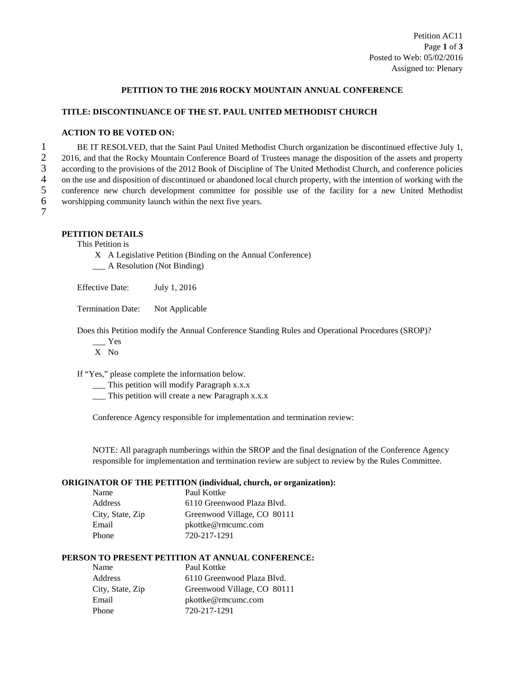#### **PETITION TO THE 2016 ROCKY MOUNTAIN ANNUAL CONFERENCE**

#### **TITLE: DISCONTINUANCE OF THE ST. PAUL UNITED METHODIST CHURCH**

## **ACTION TO BE VOTED ON:**

1 BE IT RESOLVED, that the Saint Paul United Methodist Church organization be discontinued effective July 1,<br>2 2016, and that the Rocky Mountain Conference Board of Trustees manage the disposition of the assets and propert 2016, and that the Rocky Mountain Conference Board of Trustees manage the disposition of the assets and property<br>3 according to the provisions of the 2012 Book of Discipline of The United Methodist Church, and conference p 3 according to the provisions of the 2012 Book of Discipline of The United Methodist Church, and conference policies<br>4 on the use and disposition of discontinued or abandoned local church property, with the intention of wo 4 on the use and disposition of discontinued or abandoned local church property, with the intention of working with the conference new church development committee for possible use of the facility for a new United Methodis 5 conference new church development committee for possible use of the facility for a new United Methodist worshipping community launch within the next five years. worshipping community launch within the next five years.

# 7

## **PETITION DETAILS**

This Petition is

- X A Legislative Petition (Binding on the Annual Conference)
- \_\_\_ A Resolution (Not Binding)

Effective Date: July 1, 2016

Termination Date: Not Applicable

Does this Petition modify the Annual Conference Standing Rules and Operational Procedures (SROP)?

- $\mathbf{Yes}$
- X No

If "Yes," please complete the information below.

- \_\_\_ This petition will modify Paragraph x.x.x
- \_\_\_ This petition will create a new Paragraph x.x.x

Conference Agency responsible for implementation and termination review:

NOTE: All paragraph numberings within the SROP and the final designation of the Conference Agency responsible for implementation and termination review are subject to review by the Rules Committee.

#### **ORIGINATOR OF THE PETITION (individual, church, or organization):**

| Name             | Paul Kottke                 |
|------------------|-----------------------------|
| Address          | 6110 Greenwood Plaza Blyd.  |
| City, State, Zip | Greenwood Village, CO 80111 |
| Email            | pkottke@rmcumc.com          |
| Phone            | 720-217-1291                |
|                  |                             |

#### **PERSON TO PRESENT PETITION AT ANNUAL CONFERENCE:**

| Name             | Paul Kottke                 |
|------------------|-----------------------------|
| Address          | 6110 Greenwood Plaza Blyd.  |
| City, State, Zip | Greenwood Village, CO 80111 |
| Email            | pkottke@rmcumc.com          |
| Phone            | 720-217-1291                |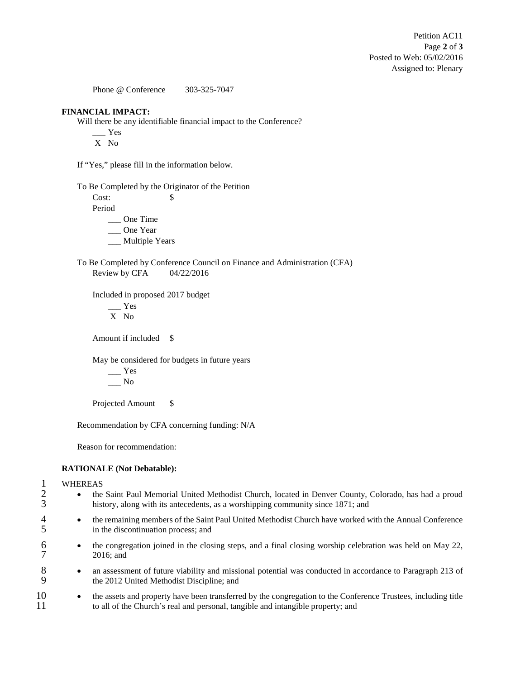Phone @ Conference 303-325-7047

#### **FINANCIAL IMPACT:**

Will there be any identifiable financial impact to the Conference?

 $\frac{Y_{\text{es}}}{Y_{\text{es}}}$ 

X No

If "Yes," please fill in the information below.

To Be Completed by the Originator of the Petition

Cost: \$ Period

\_\_\_ One Time

\_\_\_ One Year

\_\_\_ Multiple Years

To Be Completed by Conference Council on Finance and Administration (CFA) Review by CFA 04/22/2016

Included in proposed 2017 budget

\_\_\_ Yes X No

Amount if included \$

May be considered for budgets in future years

 $\frac{1}{2}$  Yes  $\_\_$  No

Projected Amount \$

Recommendation by CFA concerning funding: N/A

Reason for recommendation:

#### **RATIONALE (Not Debatable):**

# 1 WHEREAS<br>2 • the

- <sup>2</sup> the Saint Paul Memorial United Methodist Church, located in Denver County, Colorado, has had a proud history, along with its antecedents, as a worshipping community since 1871; and history, along with its antecedents, as a worshipping community since 1871; and
- <sup>4</sup> the remaining members of the Saint Paul United Methodist Church have worked with the Annual Conference<br>5 in the discontinuation process: and in the discontinuation process; and
- <sup>6</sup> the congregation joined in the closing steps, and a final closing worship celebration was held on May 22, 2016; and 2016; and
- 8 an assessment of future viability and missional potential was conducted in accordance to Paragraph 213 of the 2012 United Methodist Discipline; and the 2012 United Methodist Discipline; and
- <sup>10</sup> the assets and property have been transferred by the congregation to the Conference Trustees, including title to all of the Church's real and personal, tangible and intangible property; and 11 to all of the Church's real and personal, tangible and intangible property; and